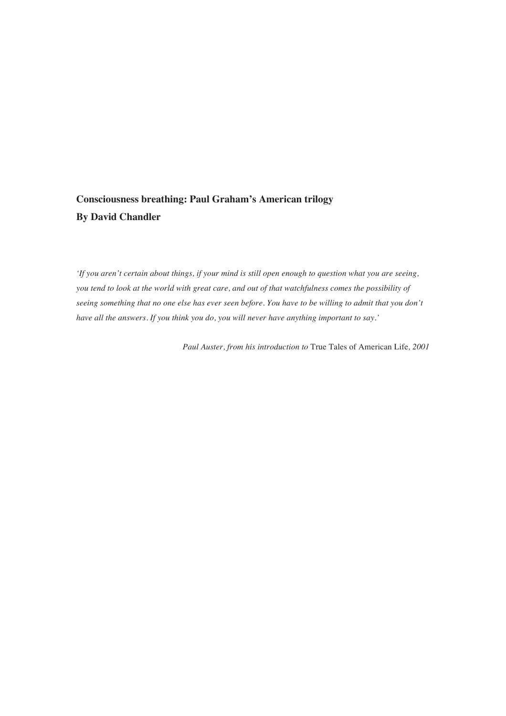## **Consciousness breathing: Paul Graham's American trilogy By David Chandler**

*'If you aren't certain about things, if your mind is still open enough to question what you are seeing, you tend to look at the world with great care, and out of that watchfulness comes the possibility of seeing something that no one else has ever seen before. You have to be willing to admit that you don't have all the answers. If you think you do, you will never have anything important to say.'*

*Paul Auster, from his introduction to* True Tales of American Life*, 2001*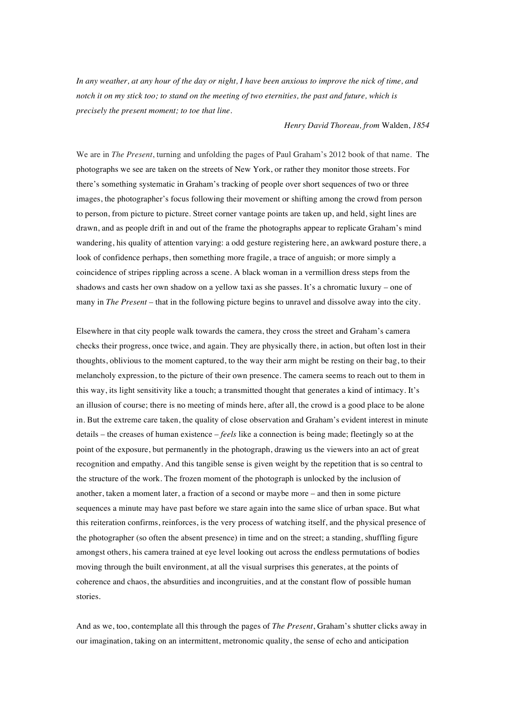*In any weather, at any hour of the day or night, I have been anxious to improve the nick of time, and notch it on my stick too; to stand on the meeting of two eternities, the past and future, which is precisely the present moment; to toe that line.* 

*Henry David Thoreau, from* Walden, *1854*

We are in *The Present*, turning and unfolding the pages of Paul Graham's 2012 book of that name. The photographs we see are taken on the streets of New York, or rather they monitor those streets. For there's something systematic in Graham's tracking of people over short sequences of two or three images, the photographer's focus following their movement or shifting among the crowd from person to person, from picture to picture. Street corner vantage points are taken up, and held, sight lines are drawn, and as people drift in and out of the frame the photographs appear to replicate Graham's mind wandering, his quality of attention varying: a odd gesture registering here, an awkward posture there, a look of confidence perhaps, then something more fragile, a trace of anguish; or more simply a coincidence of stripes rippling across a scene. A black woman in a vermillion dress steps from the shadows and casts her own shadow on a yellow taxi as she passes. It's a chromatic luxury – one of many in *The Present* – that in the following picture begins to unravel and dissolve away into the city.

Elsewhere in that city people walk towards the camera, they cross the street and Graham's camera checks their progress, once twice, and again. They are physically there, in action, but often lost in their thoughts, oblivious to the moment captured, to the way their arm might be resting on their bag, to their melancholy expression, to the picture of their own presence. The camera seems to reach out to them in this way, its light sensitivity like a touch; a transmitted thought that generates a kind of intimacy. It's an illusion of course; there is no meeting of minds here, after all, the crowd is a good place to be alone in. But the extreme care taken, the quality of close observation and Graham's evident interest in minute details – the creases of human existence – *feels* like a connection is being made; fleetingly so at the point of the exposure, but permanently in the photograph, drawing us the viewers into an act of great recognition and empathy. And this tangible sense is given weight by the repetition that is so central to the structure of the work. The frozen moment of the photograph is unlocked by the inclusion of another, taken a moment later, a fraction of a second or maybe more – and then in some picture sequences a minute may have past before we stare again into the same slice of urban space. But what this reiteration confirms, reinforces, is the very process of watching itself, and the physical presence of the photographer (so often the absent presence) in time and on the street; a standing, shuffling figure amongst others, his camera trained at eye level looking out across the endless permutations of bodies moving through the built environment, at all the visual surprises this generates, at the points of coherence and chaos, the absurdities and incongruities, and at the constant flow of possible human stories.

And as we, too, contemplate all this through the pages of *The Present*, Graham's shutter clicks away in our imagination, taking on an intermittent, metronomic quality, the sense of echo and anticipation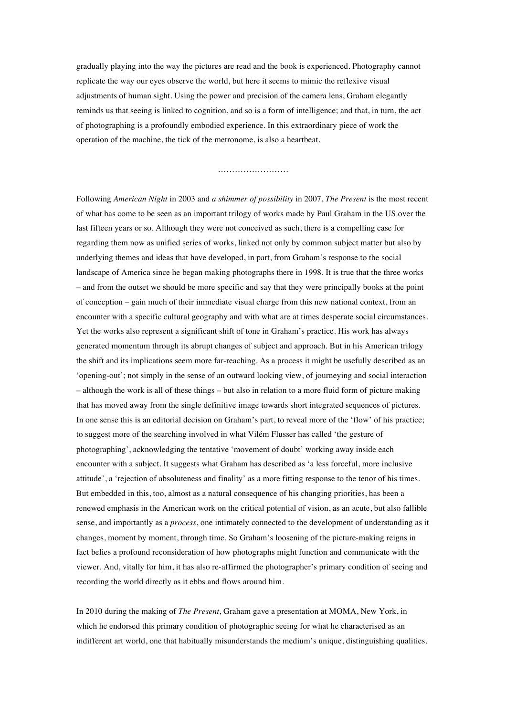gradually playing into the way the pictures are read and the book is experienced. Photography cannot replicate the way our eyes observe the world, but here it seems to mimic the reflexive visual adjustments of human sight. Using the power and precision of the camera lens, Graham elegantly reminds us that seeing is linked to cognition, and so is a form of intelligence; and that, in turn, the act of photographing is a profoundly embodied experience. In this extraordinary piece of work the operation of the machine, the tick of the metronome, is also a heartbeat.

…………………….

Following *American Night* in 2003 and *a shimmer of possibility* in 2007, *The Present* is the most recent of what has come to be seen as an important trilogy of works made by Paul Graham in the US over the last fifteen years or so. Although they were not conceived as such, there is a compelling case for regarding them now as unified series of works, linked not only by common subject matter but also by underlying themes and ideas that have developed, in part, from Graham's response to the social landscape of America since he began making photographs there in 1998. It is true that the three works – and from the outset we should be more specific and say that they were principally books at the point of conception – gain much of their immediate visual charge from this new national context, from an encounter with a specific cultural geography and with what are at times desperate social circumstances. Yet the works also represent a significant shift of tone in Graham's practice. His work has always generated momentum through its abrupt changes of subject and approach. But in his American trilogy the shift and its implications seem more far-reaching. As a process it might be usefully described as an 'opening-out'; not simply in the sense of an outward looking view, of journeying and social interaction – although the work is all of these things – but also in relation to a more fluid form of picture making that has moved away from the single definitive image towards short integrated sequences of pictures. In one sense this is an editorial decision on Graham's part, to reveal more of the 'flow' of his practice; to suggest more of the searching involved in what Vilém Flusser has called 'the gesture of photographing', acknowledging the tentative 'movement of doubt' working away inside each encounter with a subject. It suggests what Graham has described as 'a less forceful, more inclusive attitude', a 'rejection of absoluteness and finality' as a more fitting response to the tenor of his times. But embedded in this, too, almost as a natural consequence of his changing priorities, has been a renewed emphasis in the American work on the critical potential of vision, as an acute, but also fallible sense, and importantly as a *process*, one intimately connected to the development of understanding as it changes, moment by moment, through time. So Graham's loosening of the picture-making reigns in fact belies a profound reconsideration of how photographs might function and communicate with the viewer. And, vitally for him, it has also re-affirmed the photographer's primary condition of seeing and recording the world directly as it ebbs and flows around him.

In 2010 during the making of *The Present*, Graham gave a presentation at MOMA, New York, in which he endorsed this primary condition of photographic seeing for what he characterised as an indifferent art world, one that habitually misunderstands the medium's unique, distinguishing qualities.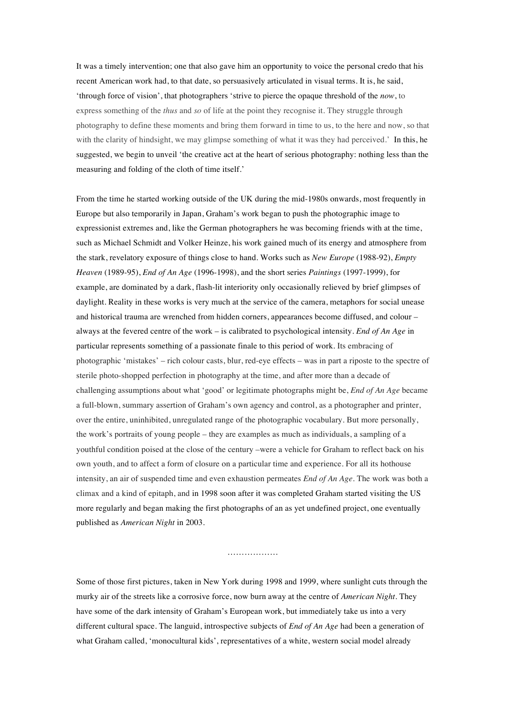It was a timely intervention; one that also gave him an opportunity to voice the personal credo that his recent American work had, to that date, so persuasively articulated in visual terms. It is, he said, 'through force of vision', that photographers 'strive to pierce the opaque threshold of the *now*, to express something of the *thus* and *so* of life at the point they recognise it. They struggle through photography to define these moments and bring them forward in time to us, to the here and now, so that with the clarity of hindsight, we may glimpse something of what it was they had perceived.' In this, he suggested, we begin to unveil 'the creative act at the heart of serious photography: nothing less than the measuring and folding of the cloth of time itself.'

From the time he started working outside of the UK during the mid-1980s onwards, most frequently in Europe but also temporarily in Japan, Graham's work began to push the photographic image to expressionist extremes and, like the German photographers he was becoming friends with at the time, such as Michael Schmidt and Volker Heinze, his work gained much of its energy and atmosphere from the stark, revelatory exposure of things close to hand. Works such as *New Europe* (1988-92), *Empty Heaven* (1989-95), *End of An Age* (1996-1998), and the short series *Paintings* (1997-1999), for example, are dominated by a dark, flash-lit interiority only occasionally relieved by brief glimpses of daylight. Reality in these works is very much at the service of the camera, metaphors for social unease and historical trauma are wrenched from hidden corners, appearances become diffused, and colour – always at the fevered centre of the work – is calibrated to psychological intensity. *End of An Age* in particular represents something of a passionate finale to this period of work. Its embracing of photographic 'mistakes' – rich colour casts, blur, red-eye effects – was in part a riposte to the spectre of sterile photo-shopped perfection in photography at the time, and after more than a decade of challenging assumptions about what 'good' or legitimate photographs might be, *End of An Age* became a full-blown, summary assertion of Graham's own agency and control, as a photographer and printer, over the entire, uninhibited, unregulated range of the photographic vocabulary. But more personally, the work's portraits of young people – they are examples as much as individuals, a sampling of a youthful condition poised at the close of the century –were a vehicle for Graham to reflect back on his own youth, and to affect a form of closure on a particular time and experience. For all its hothouse intensity, an air of suspended time and even exhaustion permeates *End of An Age*. The work was both a climax and a kind of epitaph, and in 1998 soon after it was completed Graham started visiting the US more regularly and began making the first photographs of an as yet undefined project, one eventually published as *American Night* in 2003.

………………

Some of those first pictures, taken in New York during 1998 and 1999, where sunlight cuts through the murky air of the streets like a corrosive force, now burn away at the centre of *American Night*. They have some of the dark intensity of Graham's European work, but immediately take us into a very different cultural space. The languid, introspective subjects of *End of An Age* had been a generation of what Graham called, 'monocultural kids', representatives of a white, western social model already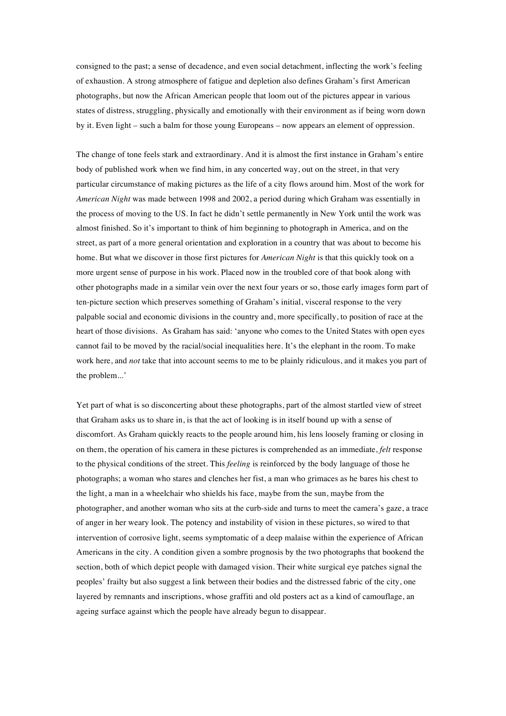consigned to the past; a sense of decadence, and even social detachment, inflecting the work's feeling of exhaustion. A strong atmosphere of fatigue and depletion also defines Graham's first American photographs, but now the African American people that loom out of the pictures appear in various states of distress, struggling, physically and emotionally with their environment as if being worn down by it. Even light – such a balm for those young Europeans – now appears an element of oppression.

The change of tone feels stark and extraordinary. And it is almost the first instance in Graham's entire body of published work when we find him, in any concerted way, out on the street, in that very particular circumstance of making pictures as the life of a city flows around him. Most of the work for *American Night* was made between 1998 and 2002, a period during which Graham was essentially in the process of moving to the US. In fact he didn't settle permanently in New York until the work was almost finished. So it's important to think of him beginning to photograph in America, and on the street, as part of a more general orientation and exploration in a country that was about to become his home. But what we discover in those first pictures for *American Night* is that this quickly took on a more urgent sense of purpose in his work. Placed now in the troubled core of that book along with other photographs made in a similar vein over the next four years or so, those early images form part of ten-picture section which preserves something of Graham's initial, visceral response to the very palpable social and economic divisions in the country and, more specifically, to position of race at the heart of those divisions. As Graham has said: 'anyone who comes to the United States with open eyes cannot fail to be moved by the racial/social inequalities here. It's the elephant in the room. To make work here, and *not* take that into account seems to me to be plainly ridiculous, and it makes you part of the problem...'

Yet part of what is so disconcerting about these photographs, part of the almost startled view of street that Graham asks us to share in, is that the act of looking is in itself bound up with a sense of discomfort. As Graham quickly reacts to the people around him, his lens loosely framing or closing in on them, the operation of his camera in these pictures is comprehended as an immediate, *felt* response to the physical conditions of the street. This *feeling* is reinforced by the body language of those he photographs; a woman who stares and clenches her fist, a man who grimaces as he bares his chest to the light, a man in a wheelchair who shields his face, maybe from the sun, maybe from the photographer, and another woman who sits at the curb-side and turns to meet the camera's gaze, a trace of anger in her weary look. The potency and instability of vision in these pictures, so wired to that intervention of corrosive light, seems symptomatic of a deep malaise within the experience of African Americans in the city. A condition given a sombre prognosis by the two photographs that bookend the section, both of which depict people with damaged vision. Their white surgical eye patches signal the peoples' frailty but also suggest a link between their bodies and the distressed fabric of the city, one layered by remnants and inscriptions, whose graffiti and old posters act as a kind of camouflage, an ageing surface against which the people have already begun to disappear.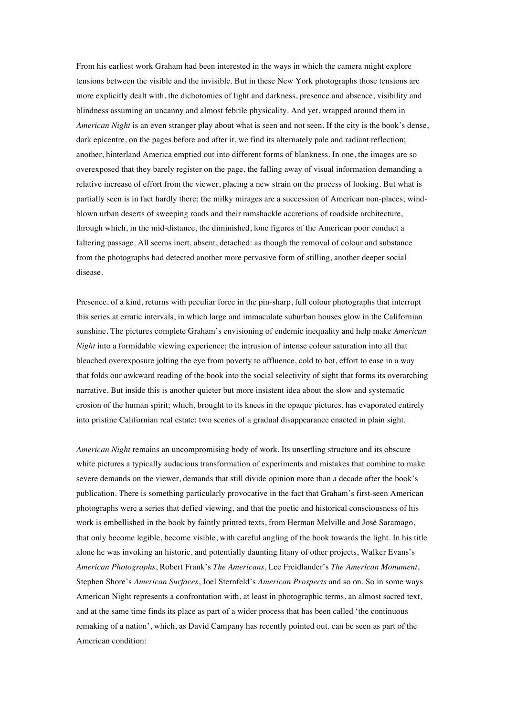From his earliest work Graham had been interested in the ways in which the camera might explore tensions between the visible and the invisible. But in these New York photographs those tensions are more explicitly dealt with, the dichotomies of light and darkness, presence and absence, visibility and blindness assuming an uncanny and almost febrile physicality. And yet, wrapped around them in *American Night* is an even stranger play about what is seen and not seen. If the city is the book's dense, dark epicentre, on the pages before and after it, we find its alternately pale and radiant reflection; another, hinterland America emptied out into different forms of blankness. In one, the images are so overexposed that they barely register on the page, the falling away of visual information demanding a relative increase of effort from the viewer, placing a new strain on the process of looking. But what is partially seen is in fact hardly there; the milky mirages are a succession of American non-places; windblown urban deserts of sweeping roads and their ramshackle accretions of roadside architecture, through which, in the mid-distance, the diminished, lone figures of the American poor conduct a faltering passage. All seems inert, absent, detached: as though the removal of colour and substance from the photographs had detected another more pervasive form of stilling, another deeper social disease.

Presence, of a kind, returns with peculiar force in the pin-sharp, full colour photographs that interrupt this series at erratic intervals, in which large and immaculate suburban houses glow in the Californian sunshine. The pictures complete Graham's envisioning of endemic inequality and help make *American Night* into a formidable viewing experience; the intrusion of intense colour saturation into all that bleached overexposure jolting the eye from poverty to affluence, cold to hot, effort to ease in a way that folds our awkward reading of the book into the social selectivity of sight that forms its overarching narrative. But inside this is another quieter but more insistent idea about the slow and systematic erosion of the human spirit; which, brought to its knees in the opaque pictures, has evaporated entirely into pristine Californian real estate: two scenes of a gradual disappearance enacted in plain sight.

*American Night* remains an uncompromising body of work. Its unsettling structure and its obscure white pictures a typically audacious transformation of experiments and mistakes that combine to make severe demands on the viewer, demands that still divide opinion more than a decade after the book's publication. There is something particularly provocative in the fact that Graham's first-seen American photographs were a series that defied viewing, and that the poetic and historical consciousness of his work is embellished in the book by faintly printed texts, from Herman Melville and José Saramago, that only become legible, become visible, with careful angling of the book towards the light. In his title alone he was invoking an historic, and potentially daunting litany of other projects, Walker Evans's *American Photographs*, Robert Frank's *The Americans*, Lee Freidlander's *The American Monument*, Stephen Shore's *American Surfaces*, Joel Sternfeld's *American Prospects* and so on. So in some ways American Night represents a confrontation with, at least in photographic terms, an almost sacred text, and at the same time finds its place as part of a wider process that has been called 'the continuous remaking of a nation', which, as David Campany has recently pointed out, can be seen as part of the American condition: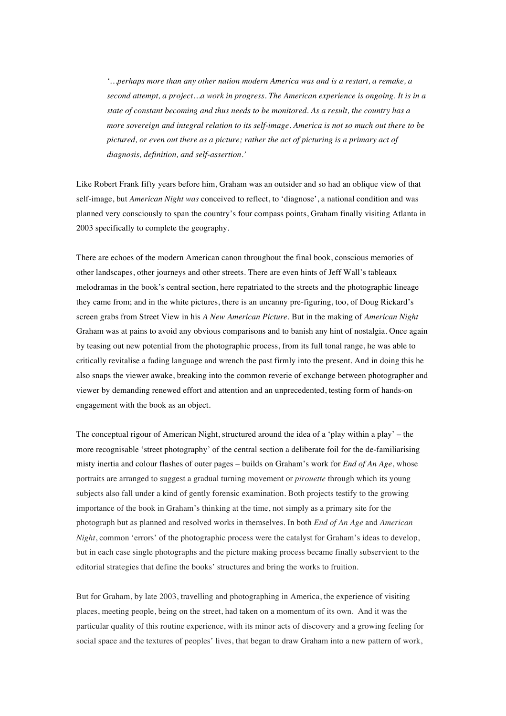*'…perhaps more than any other nation modern America was and is a restart, a remake, a second attempt, a project…a work in progress. The American experience is ongoing. It is in a state of constant becoming and thus needs to be monitored. As a result, the country has a more sovereign and integral relation to its self-image. America is not so much out there to be pictured, or even out there as a picture; rather the act of picturing is a primary act of diagnosis, definition, and self-assertion.'*

Like Robert Frank fifty years before him, Graham was an outsider and so had an oblique view of that self-image, but *American Night was* conceived to reflect, to 'diagnose', a national condition and was planned very consciously to span the country's four compass points, Graham finally visiting Atlanta in 2003 specifically to complete the geography.

There are echoes of the modern American canon throughout the final book, conscious memories of other landscapes, other journeys and other streets. There are even hints of Jeff Wall's tableaux melodramas in the book's central section, here repatriated to the streets and the photographic lineage they came from; and in the white pictures, there is an uncanny pre-figuring, too, of Doug Rickard's screen grabs from Street View in his *A New American Picture*. But in the making of *American Night* Graham was at pains to avoid any obvious comparisons and to banish any hint of nostalgia. Once again by teasing out new potential from the photographic process, from its full tonal range, he was able to critically revitalise a fading language and wrench the past firmly into the present. And in doing this he also snaps the viewer awake, breaking into the common reverie of exchange between photographer and viewer by demanding renewed effort and attention and an unprecedented, testing form of hands-on engagement with the book as an object.

The conceptual rigour of American Night, structured around the idea of a 'play within a play' – the more recognisable 'street photography' of the central section a deliberate foil for the de-familiarising misty inertia and colour flashes of outer pages – builds on Graham's work for *End of An Age*, whose portraits are arranged to suggest a gradual turning movement or *pirouette* through which its young subjects also fall under a kind of gently forensic examination. Both projects testify to the growing importance of the book in Graham's thinking at the time, not simply as a primary site for the photograph but as planned and resolved works in themselves. In both *End of An Age* and *American Night*, common 'errors' of the photographic process were the catalyst for Graham's ideas to develop, but in each case single photographs and the picture making process became finally subservient to the editorial strategies that define the books' structures and bring the works to fruition.

But for Graham, by late 2003, travelling and photographing in America, the experience of visiting places, meeting people, being on the street, had taken on a momentum of its own. And it was the particular quality of this routine experience, with its minor acts of discovery and a growing feeling for social space and the textures of peoples' lives, that began to draw Graham into a new pattern of work,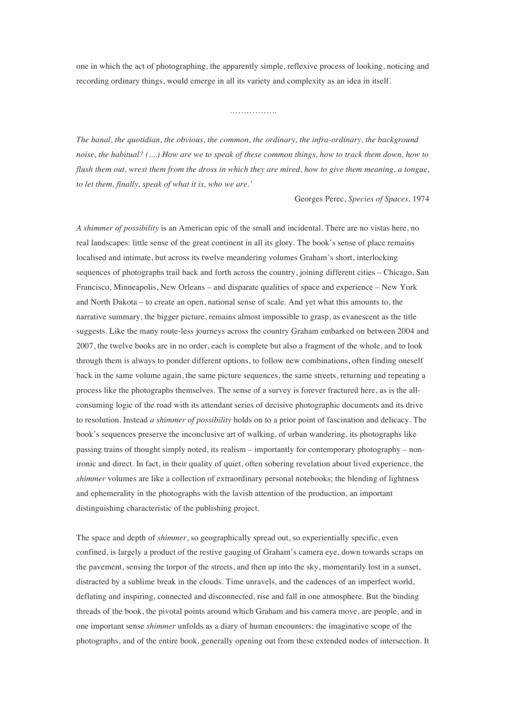one in which the act of photographing, the apparently simple, reflexive process of looking, noticing and recording ordinary things, would emerge in all its variety and complexity as an idea in itself.

……………

*The banal, the quotidian, the obvious, the common, the ordinary, the infra-ordinary, the background noise, the habitual? (....) How are we to speak of these common things, how to track them down, how to flush them out, wrest them from the dross in which they are mired, how to give them meaning, a tongue, to let them, finally, speak of what it is, who we are.'*

Georges Perec, *Species of Spaces*, 1974

*A shimmer of possibility* is an American epic of the small and incidental. There are no vistas here, no real landscapes: little sense of the great continent in all its glory. The book's sense of place remains localised and intimate, but across its twelve meandering volumes Graham's short, interlocking sequences of photographs trail back and forth across the country, joining different cities – Chicago, San Francisco, Minneapolis, New Orleans – and disparate qualities of space and experience – New York and North Dakota – to create an open, national sense of scale. And yet what this amounts to, the narrative summary, the bigger picture, remains almost impossible to grasp, as evanescent as the title suggests. Like the many route-less journeys across the country Graham embarked on between 2004 and 2007, the twelve books are in no order, each is complete but also a fragment of the whole, and to look through them is always to ponder different options, to follow new combinations, often finding oneself back in the same volume again, the same picture sequences, the same streets, returning and repeating a process like the photographs themselves. The sense of a survey is forever fractured here, as is the allconsuming logic of the road with its attendant series of decisive photographic documents and its drive to resolution. Instead *a shimmer of possibility* holds on to a prior point of fascination and delicacy. The book's sequences preserve the inconclusive art of walking, of urban wandering, its photographs like passing trains of thought simply noted, its realism – importantly for contemporary photography – nonironic and direct. In fact, in their quality of quiet, often sobering revelation about lived experience, the *shimmer* volumes are like a collection of extraordinary personal notebooks; the blending of lightness and ephemerality in the photographs with the lavish attention of the production, an important distinguishing characteristic of the publishing project.

The space and depth of *shimmer*, so geographically spread out, so experientially specific, even confined, is largely a product of the restive gauging of Graham's camera eye, down towards scraps on the pavement, sensing the torpor of the streets, and then up into the sky, momentarily lost in a sunset, distracted by a sublime break in the clouds. Time unravels, and the cadences of an imperfect world, deflating and inspiring, connected and disconnected, rise and fall in one atmosphere. But the binding threads of the book, the pivotal points around which Graham and his camera move, are people, and in one important sense *shimmer* unfolds as a diary of human encounters; the imaginative scope of the photographs, and of the entire book, generally opening out from these extended nodes of intersection. It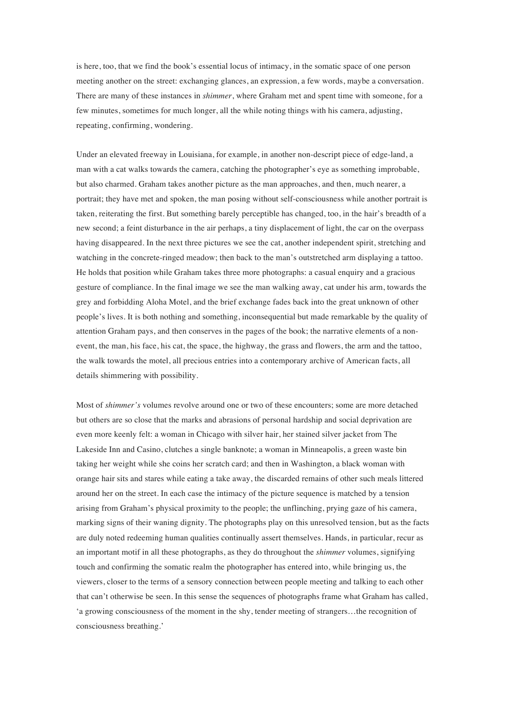is here, too, that we find the book's essential locus of intimacy, in the somatic space of one person meeting another on the street: exchanging glances, an expression, a few words, maybe a conversation. There are many of these instances in *shimmer*, where Graham met and spent time with someone, for a few minutes, sometimes for much longer, all the while noting things with his camera, adjusting, repeating, confirming, wondering.

Under an elevated freeway in Louisiana, for example, in another non-descript piece of edge-land, a man with a cat walks towards the camera, catching the photographer's eye as something improbable, but also charmed. Graham takes another picture as the man approaches, and then, much nearer, a portrait; they have met and spoken, the man posing without self-consciousness while another portrait is taken, reiterating the first. But something barely perceptible has changed, too, in the hair's breadth of a new second; a feint disturbance in the air perhaps, a tiny displacement of light, the car on the overpass having disappeared. In the next three pictures we see the cat, another independent spirit, stretching and watching in the concrete-ringed meadow; then back to the man's outstretched arm displaying a tattoo. He holds that position while Graham takes three more photographs: a casual enquiry and a gracious gesture of compliance. In the final image we see the man walking away, cat under his arm, towards the grey and forbidding Aloha Motel, and the brief exchange fades back into the great unknown of other people's lives. It is both nothing and something, inconsequential but made remarkable by the quality of attention Graham pays, and then conserves in the pages of the book; the narrative elements of a nonevent, the man, his face, his cat, the space, the highway, the grass and flowers, the arm and the tattoo, the walk towards the motel, all precious entries into a contemporary archive of American facts, all details shimmering with possibility.

Most of *shimmer's* volumes revolve around one or two of these encounters; some are more detached but others are so close that the marks and abrasions of personal hardship and social deprivation are even more keenly felt: a woman in Chicago with silver hair, her stained silver jacket from The Lakeside Inn and Casino, clutches a single banknote; a woman in Minneapolis, a green waste bin taking her weight while she coins her scratch card; and then in Washington, a black woman with orange hair sits and stares while eating a take away, the discarded remains of other such meals littered around her on the street. In each case the intimacy of the picture sequence is matched by a tension arising from Graham's physical proximity to the people; the unflinching, prying gaze of his camera, marking signs of their waning dignity. The photographs play on this unresolved tension, but as the facts are duly noted redeeming human qualities continually assert themselves. Hands, in particular, recur as an important motif in all these photographs, as they do throughout the *shimmer* volumes, signifying touch and confirming the somatic realm the photographer has entered into, while bringing us, the viewers, closer to the terms of a sensory connection between people meeting and talking to each other that can't otherwise be seen. In this sense the sequences of photographs frame what Graham has called, 'a growing consciousness of the moment in the shy, tender meeting of strangers…the recognition of consciousness breathing.'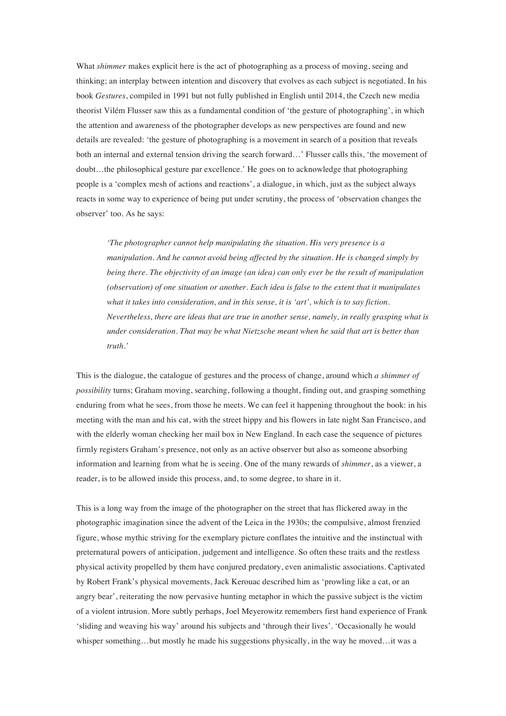What *shimmer* makes explicit here is the act of photographing as a process of moving, seeing and thinking; an interplay between intention and discovery that evolves as each subject is negotiated. In his book *Gestures*, compiled in 1991 but not fully published in English until 2014, the Czech new media theorist Vilém Flusser saw this as a fundamental condition of 'the gesture of photographing', in which the attention and awareness of the photographer develops as new perspectives are found and new details are revealed: 'the gesture of photographing is a movement in search of a position that reveals both an internal and external tension driving the search forward…' Flusser calls this, 'the movement of doubt…the philosophical gesture par excellence.' He goes on to acknowledge that photographing people is a 'complex mesh of actions and reactions', a dialogue, in which, just as the subject always reacts in some way to experience of being put under scrutiny, the process of 'observation changes the observer' too. As he says:

*'The photographer cannot help manipulating the situation. His very presence is a manipulation. And he cannot avoid being affected by the situation. He is changed simply by being there. The objectivity of an image (an idea) can only ever be the result of manipulation (observation) of one situation or another. Each idea is false to the extent that it manipulates what it takes into consideration, and in this sense, it is 'art', which is to say fiction. Nevertheless, there are ideas that are true in another sense, namely, in really grasping what is under consideration. That may be what Nietzsche meant when he said that art is better than truth.'*

This is the dialogue, the catalogue of gestures and the process of change, around which *a shimmer of possibility* turns; Graham moving, searching, following a thought, finding out, and grasping something enduring from what he sees, from those he meets. We can feel it happening throughout the book: in his meeting with the man and his cat, with the street hippy and his flowers in late night San Francisco, and with the elderly woman checking her mail box in New England. In each case the sequence of pictures firmly registers Graham's presence, not only as an active observer but also as someone absorbing information and learning from what he is seeing. One of the many rewards of *shimmer*, as a viewer, a reader, is to be allowed inside this process, and, to some degree, to share in it.

This is a long way from the image of the photographer on the street that has flickered away in the photographic imagination since the advent of the Leica in the 1930s; the compulsive, almost frenzied figure, whose mythic striving for the exemplary picture conflates the intuitive and the instinctual with preternatural powers of anticipation, judgement and intelligence. So often these traits and the restless physical activity propelled by them have conjured predatory, even animalistic associations. Captivated by Robert Frank's physical movements, Jack Kerouac described him as 'prowling like a cat, or an angry bear', reiterating the now pervasive hunting metaphor in which the passive subject is the victim of a violent intrusion. More subtly perhaps, Joel Meyerowitz remembers first hand experience of Frank 'sliding and weaving his way' around his subjects and 'through their lives'. 'Occasionally he would whisper something…but mostly he made his suggestions physically, in the way he moved…it was a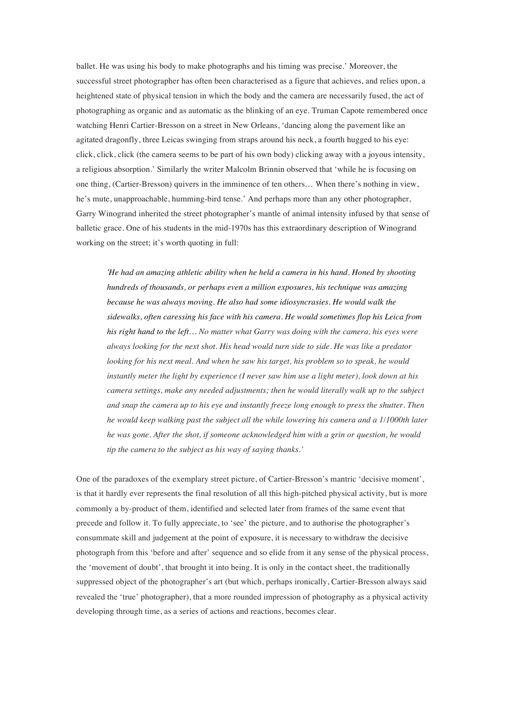ballet. He was using his body to make photographs and his timing was precise.' Moreover, the successful street photographer has often been characterised as a figure that achieves, and relies upon, a heightened state of physical tension in which the body and the camera are necessarily fused, the act of photographing as organic and as automatic as the blinking of an eye. Truman Capote remembered once watching Henri Cartier-Bresson on a street in New Orleans, 'dancing along the pavement like an agitated dragonfly, three Leicas swinging from straps around his neck, a fourth hugged to his eye: click, click, click (the camera seems to be part of his own body) clicking away with a joyous intensity, a religious absorption.' Similarly the writer Malcolm Brinnin observed that 'while he is focusing on one thing, (Cartier-Bresson) quivers in the imminence of ten others… When there's nothing in view, he's mute, unapproachable, humming-bird tense.' And perhaps more than any other photographer, Garry Winogrand inherited the street photographer's mantle of animal intensity infused by that sense of balletic grace. One of his students in the mid-1970s has this extraordinary description of Winogrand working on the street; it's worth quoting in full:

*'He had an amazing athletic ability when he held a camera in his hand. Honed by shooting hundreds of thousands, or perhaps even a million exposures, his technique was amazing because he was always moving. He also had some idiosyncrasies. He would walk the sidewalks, often caressing his face with his camera. He would sometimes flop his Leica from his right hand to the left… No matter what Garry was doing with the camera, his eyes were always looking for the next shot. His head would turn side to side. He was like a predator looking for his next meal. And when he saw his target, his problem so to speak, he would instantly meter the light by experience (I never saw him use a light meter), look down at his camera settings, make any needed adjustments; then he would literally walk up to the subject and snap the camera up to his eye and instantly freeze long enough to press the shutter. Then he would keep walking past the subject all the while lowering his camera and a 1/1000th later he was gone. After the shot, if someone acknowledged him with a grin or question, he would tip the camera to the subject as his way of saying thanks.'*

One of the paradoxes of the exemplary street picture, of Cartier-Bresson's mantric 'decisive moment', is that it hardly ever represents the final resolution of all this high-pitched physical activity, but is more commonly a by-product of them, identified and selected later from frames of the same event that precede and follow it. To fully appreciate, to 'see' the picture, and to authorise the photographer's consummate skill and judgement at the point of exposure, it is necessary to withdraw the decisive photograph from this 'before and after' sequence and so elide from it any sense of the physical process, the 'movement of doubt', that brought it into being. It is only in the contact sheet, the traditionally suppressed object of the photographer's art (but which, perhaps ironically, Cartier-Bresson always said revealed the 'true' photographer), that a more rounded impression of photography as a physical activity developing through time, as a series of actions and reactions, becomes clear.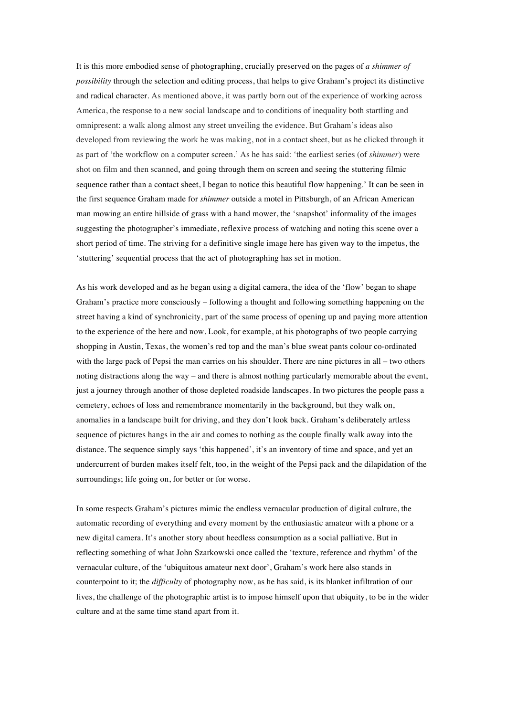It is this more embodied sense of photographing, crucially preserved on the pages of *a shimmer of possibility* through the selection and editing process, that helps to give Graham's project its distinctive and radical character. As mentioned above, it was partly born out of the experience of working across America, the response to a new social landscape and to conditions of inequality both startling and omnipresent: a walk along almost any street unveiling the evidence. But Graham's ideas also developed from reviewing the work he was making, not in a contact sheet, but as he clicked through it as part of 'the workflow on a computer screen.' As he has said: 'the earliest series (of *shimmer*) were shot on film and then scanned, and going through them on screen and seeing the stuttering filmic sequence rather than a contact sheet, I began to notice this beautiful flow happening.' It can be seen in the first sequence Graham made for *shimmer* outside a motel in Pittsburgh, of an African American man mowing an entire hillside of grass with a hand mower, the 'snapshot' informality of the images suggesting the photographer's immediate, reflexive process of watching and noting this scene over a short period of time. The striving for a definitive single image here has given way to the impetus, the 'stuttering' sequential process that the act of photographing has set in motion.

As his work developed and as he began using a digital camera, the idea of the 'flow' began to shape Graham's practice more consciously – following a thought and following something happening on the street having a kind of synchronicity, part of the same process of opening up and paying more attention to the experience of the here and now. Look, for example, at his photographs of two people carrying shopping in Austin, Texas, the women's red top and the man's blue sweat pants colour co-ordinated with the large pack of Pepsi the man carries on his shoulder. There are nine pictures in all – two others noting distractions along the way – and there is almost nothing particularly memorable about the event, just a journey through another of those depleted roadside landscapes. In two pictures the people pass a cemetery, echoes of loss and remembrance momentarily in the background, but they walk on, anomalies in a landscape built for driving, and they don't look back. Graham's deliberately artless sequence of pictures hangs in the air and comes to nothing as the couple finally walk away into the distance. The sequence simply says 'this happened', it's an inventory of time and space, and yet an undercurrent of burden makes itself felt, too, in the weight of the Pepsi pack and the dilapidation of the surroundings; life going on, for better or for worse.

In some respects Graham's pictures mimic the endless vernacular production of digital culture, the automatic recording of everything and every moment by the enthusiastic amateur with a phone or a new digital camera. It's another story about heedless consumption as a social palliative. But in reflecting something of what John Szarkowski once called the 'texture, reference and rhythm' of the vernacular culture, of the 'ubiquitous amateur next door', Graham's work here also stands in counterpoint to it; the *difficulty* of photography now, as he has said, is its blanket infiltration of our lives, the challenge of the photographic artist is to impose himself upon that ubiquity, to be in the wider culture and at the same time stand apart from it.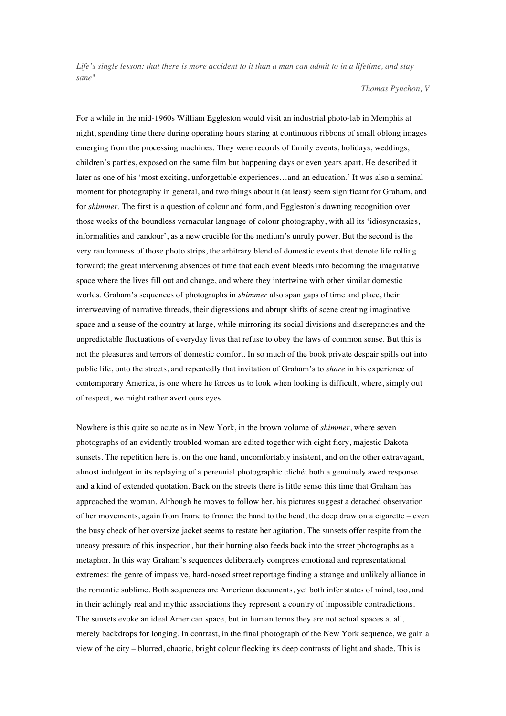*Life's single lesson: that there is more accident to it than a man can admit to in a lifetime, and stay sane*"

*Thomas Pynchon, V*

For a while in the mid-1960s William Eggleston would visit an industrial photo-lab in Memphis at night, spending time there during operating hours staring at continuous ribbons of small oblong images emerging from the processing machines. They were records of family events, holidays, weddings, children's parties, exposed on the same film but happening days or even years apart. He described it later as one of his 'most exciting, unforgettable experiences…and an education.' It was also a seminal moment for photography in general, and two things about it (at least) seem significant for Graham, and for *shimmer*. The first is a question of colour and form, and Eggleston's dawning recognition over those weeks of the boundless vernacular language of colour photography, with all its 'idiosyncrasies, informalities and candour', as a new crucible for the medium's unruly power. But the second is the very randomness of those photo strips, the arbitrary blend of domestic events that denote life rolling forward; the great intervening absences of time that each event bleeds into becoming the imaginative space where the lives fill out and change, and where they intertwine with other similar domestic worlds. Graham's sequences of photographs in *shimmer* also span gaps of time and place, their interweaving of narrative threads, their digressions and abrupt shifts of scene creating imaginative space and a sense of the country at large, while mirroring its social divisions and discrepancies and the unpredictable fluctuations of everyday lives that refuse to obey the laws of common sense. But this is not the pleasures and terrors of domestic comfort. In so much of the book private despair spills out into public life, onto the streets, and repeatedly that invitation of Graham's to *share* in his experience of contemporary America, is one where he forces us to look when looking is difficult, where, simply out of respect, we might rather avert ours eyes.

Nowhere is this quite so acute as in New York, in the brown volume of *shimmer*, where seven photographs of an evidently troubled woman are edited together with eight fiery, majestic Dakota sunsets. The repetition here is, on the one hand, uncomfortably insistent, and on the other extravagant, almost indulgent in its replaying of a perennial photographic cliché; both a genuinely awed response and a kind of extended quotation. Back on the streets there is little sense this time that Graham has approached the woman. Although he moves to follow her, his pictures suggest a detached observation of her movements, again from frame to frame: the hand to the head, the deep draw on a cigarette – even the busy check of her oversize jacket seems to restate her agitation. The sunsets offer respite from the uneasy pressure of this inspection, but their burning also feeds back into the street photographs as a metaphor. In this way Graham's sequences deliberately compress emotional and representational extremes: the genre of impassive, hard-nosed street reportage finding a strange and unlikely alliance in the romantic sublime. Both sequences are American documents, yet both infer states of mind, too, and in their achingly real and mythic associations they represent a country of impossible contradictions. The sunsets evoke an ideal American space, but in human terms they are not actual spaces at all, merely backdrops for longing. In contrast, in the final photograph of the New York sequence, we gain a view of the city – blurred, chaotic, bright colour flecking its deep contrasts of light and shade. This is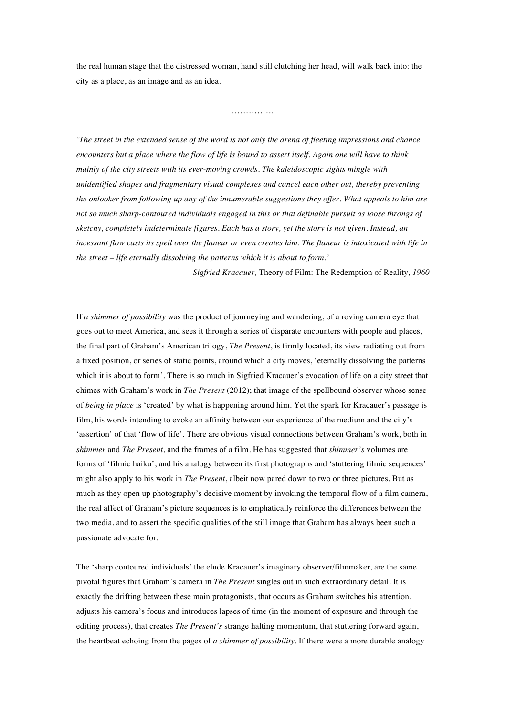the real human stage that the distressed woman, hand still clutching her head, will walk back into: the city as a place, as an image and as an idea.

……………

*'The street in the extended sense of the word is not only the arena of fleeting impressions and chance encounters but a place where the flow of life is bound to assert itself. Again one will have to think mainly of the city streets with its ever-moving crowds. The kaleidoscopic sights mingle with unidentified shapes and fragmentary visual complexes and cancel each other out, thereby preventing the onlooker from following up any of the innumerable suggestions they offer. What appeals to him are not so much sharp-contoured individuals engaged in this or that definable pursuit as loose throngs of sketchy, completely indeterminate figures. Each has a story, yet the story is not given. Instead, an incessant flow casts its spell over the flaneur or even creates him. The flaneur is intoxicated with life in the street – life eternally dissolving the patterns which it is about to form.'*

*Sigfried Kracauer,* Theory of Film: The Redemption of Reality*, 1960*

If *a shimmer of possibility* was the product of journeying and wandering, of a roving camera eye that goes out to meet America, and sees it through a series of disparate encounters with people and places, the final part of Graham's American trilogy, *The Present*, is firmly located, its view radiating out from a fixed position, or series of static points, around which a city moves, 'eternally dissolving the patterns which it is about to form'. There is so much in Sigfried Kracauer's evocation of life on a city street that chimes with Graham's work in *The Present* (2012); that image of the spellbound observer whose sense of *being in place* is 'created' by what is happening around him. Yet the spark for Kracauer's passage is film, his words intending to evoke an affinity between our experience of the medium and the city's 'assertion' of that 'flow of life'. There are obvious visual connections between Graham's work, both in *shimmer* and *The Present*, and the frames of a film. He has suggested that *shimmer's* volumes are forms of 'filmic haiku', and his analogy between its first photographs and 'stuttering filmic sequences' might also apply to his work in *The Present*, albeit now pared down to two or three pictures. But as much as they open up photography's decisive moment by invoking the temporal flow of a film camera, the real affect of Graham's picture sequences is to emphatically reinforce the differences between the two media, and to assert the specific qualities of the still image that Graham has always been such a passionate advocate for.

The 'sharp contoured individuals' the elude Kracauer's imaginary observer/filmmaker, are the same pivotal figures that Graham's camera in *The Present* singles out in such extraordinary detail. It is exactly the drifting between these main protagonists, that occurs as Graham switches his attention, adjusts his camera's focus and introduces lapses of time (in the moment of exposure and through the editing process), that creates *The Present's* strange halting momentum, that stuttering forward again, the heartbeat echoing from the pages of *a shimmer of possibility*. If there were a more durable analogy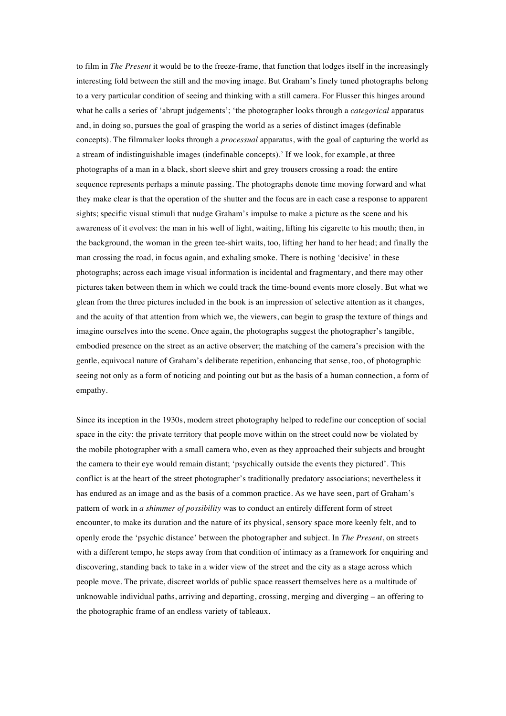to film in *The Present* it would be to the freeze-frame, that function that lodges itself in the increasingly interesting fold between the still and the moving image. But Graham's finely tuned photographs belong to a very particular condition of seeing and thinking with a still camera. For Flusser this hinges around what he calls a series of 'abrupt judgements'; 'the photographer looks through a *categorical* apparatus and, in doing so, pursues the goal of grasping the world as a series of distinct images (definable concepts). The filmmaker looks through a *processual* apparatus, with the goal of capturing the world as a stream of indistinguishable images (indefinable concepts).' If we look, for example, at three photographs of a man in a black, short sleeve shirt and grey trousers crossing a road: the entire sequence represents perhaps a minute passing. The photographs denote time moving forward and what they make clear is that the operation of the shutter and the focus are in each case a response to apparent sights; specific visual stimuli that nudge Graham's impulse to make a picture as the scene and his awareness of it evolves: the man in his well of light, waiting, lifting his cigarette to his mouth; then, in the background, the woman in the green tee-shirt waits, too, lifting her hand to her head; and finally the man crossing the road, in focus again, and exhaling smoke. There is nothing 'decisive' in these photographs; across each image visual information is incidental and fragmentary, and there may other pictures taken between them in which we could track the time-bound events more closely. But what we glean from the three pictures included in the book is an impression of selective attention as it changes, and the acuity of that attention from which we, the viewers, can begin to grasp the texture of things and imagine ourselves into the scene. Once again, the photographs suggest the photographer's tangible, embodied presence on the street as an active observer; the matching of the camera's precision with the gentle, equivocal nature of Graham's deliberate repetition, enhancing that sense, too, of photographic seeing not only as a form of noticing and pointing out but as the basis of a human connection, a form of empathy.

Since its inception in the 1930s, modern street photography helped to redefine our conception of social space in the city: the private territory that people move within on the street could now be violated by the mobile photographer with a small camera who, even as they approached their subjects and brought the camera to their eye would remain distant; 'psychically outside the events they pictured'. This conflict is at the heart of the street photographer's traditionally predatory associations; nevertheless it has endured as an image and as the basis of a common practice. As we have seen, part of Graham's pattern of work in *a shimmer of possibility* was to conduct an entirely different form of street encounter, to make its duration and the nature of its physical, sensory space more keenly felt, and to openly erode the 'psychic distance' between the photographer and subject. In *The Present*, on streets with a different tempo, he steps away from that condition of intimacy as a framework for enquiring and discovering, standing back to take in a wider view of the street and the city as a stage across which people move. The private, discreet worlds of public space reassert themselves here as a multitude of unknowable individual paths, arriving and departing, crossing, merging and diverging – an offering to the photographic frame of an endless variety of tableaux.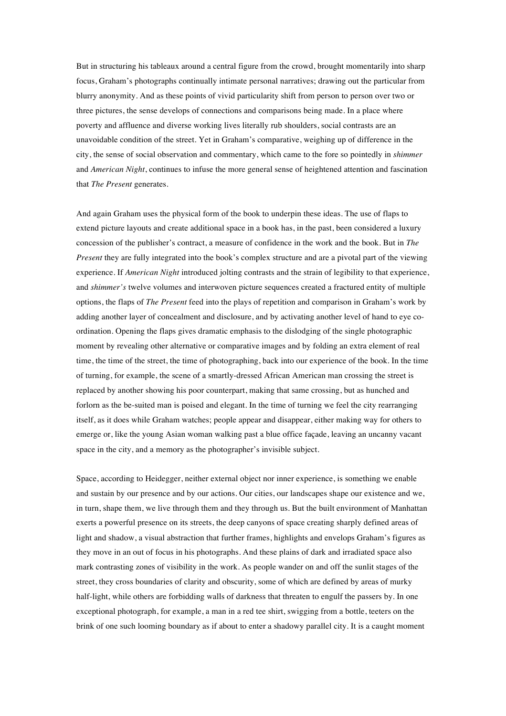But in structuring his tableaux around a central figure from the crowd, brought momentarily into sharp focus, Graham's photographs continually intimate personal narratives; drawing out the particular from blurry anonymity. And as these points of vivid particularity shift from person to person over two or three pictures, the sense develops of connections and comparisons being made. In a place where poverty and affluence and diverse working lives literally rub shoulders, social contrasts are an unavoidable condition of the street. Yet in Graham's comparative, weighing up of difference in the city, the sense of social observation and commentary, which came to the fore so pointedly in *shimmer*  and *American Night*, continues to infuse the more general sense of heightened attention and fascination that *The Present* generates.

And again Graham uses the physical form of the book to underpin these ideas. The use of flaps to extend picture layouts and create additional space in a book has, in the past, been considered a luxury concession of the publisher's contract, a measure of confidence in the work and the book. But in *The Present* they are fully integrated into the book's complex structure and are a pivotal part of the viewing experience. If *American Night* introduced jolting contrasts and the strain of legibility to that experience, and *shimmer's* twelve volumes and interwoven picture sequences created a fractured entity of multiple options, the flaps of *The Present* feed into the plays of repetition and comparison in Graham's work by adding another layer of concealment and disclosure, and by activating another level of hand to eye coordination. Opening the flaps gives dramatic emphasis to the dislodging of the single photographic moment by revealing other alternative or comparative images and by folding an extra element of real time, the time of the street, the time of photographing, back into our experience of the book. In the time of turning, for example, the scene of a smartly-dressed African American man crossing the street is replaced by another showing his poor counterpart, making that same crossing, but as hunched and forlorn as the be-suited man is poised and elegant. In the time of turning we feel the city rearranging itself, as it does while Graham watches; people appear and disappear, either making way for others to emerge or, like the young Asian woman walking past a blue office façade, leaving an uncanny vacant space in the city, and a memory as the photographer's invisible subject.

Space, according to Heidegger, neither external object nor inner experience, is something we enable and sustain by our presence and by our actions. Our cities, our landscapes shape our existence and we, in turn, shape them, we live through them and they through us. But the built environment of Manhattan exerts a powerful presence on its streets, the deep canyons of space creating sharply defined areas of light and shadow, a visual abstraction that further frames, highlights and envelops Graham's figures as they move in an out of focus in his photographs. And these plains of dark and irradiated space also mark contrasting zones of visibility in the work. As people wander on and off the sunlit stages of the street, they cross boundaries of clarity and obscurity, some of which are defined by areas of murky half-light, while others are forbidding walls of darkness that threaten to engulf the passers by. In one exceptional photograph, for example, a man in a red tee shirt, swigging from a bottle, teeters on the brink of one such looming boundary as if about to enter a shadowy parallel city. It is a caught moment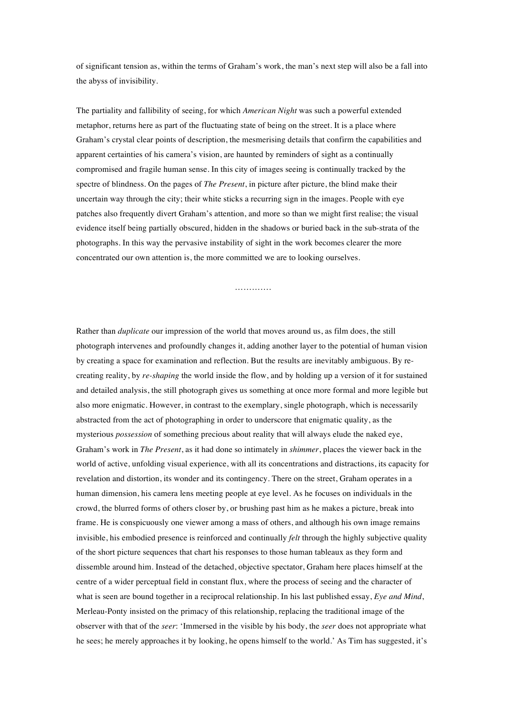of significant tension as, within the terms of Graham's work, the man's next step will also be a fall into the abyss of invisibility.

The partiality and fallibility of seeing, for which *American Night* was such a powerful extended metaphor, returns here as part of the fluctuating state of being on the street. It is a place where Graham's crystal clear points of description, the mesmerising details that confirm the capabilities and apparent certainties of his camera's vision, are haunted by reminders of sight as a continually compromised and fragile human sense. In this city of images seeing is continually tracked by the spectre of blindness. On the pages of *The Present*, in picture after picture, the blind make their uncertain way through the city; their white sticks a recurring sign in the images. People with eye patches also frequently divert Graham's attention, and more so than we might first realise; the visual evidence itself being partially obscured, hidden in the shadows or buried back in the sub-strata of the photographs. In this way the pervasive instability of sight in the work becomes clearer the more concentrated our own attention is, the more committed we are to looking ourselves.

……………

Rather than *duplicate* our impression of the world that moves around us, as film does, the still photograph intervenes and profoundly changes it, adding another layer to the potential of human vision by creating a space for examination and reflection. But the results are inevitably ambiguous. By recreating reality, by *re-shaping* the world inside the flow, and by holding up a version of it for sustained and detailed analysis, the still photograph gives us something at once more formal and more legible but also more enigmatic. However, in contrast to the exemplary, single photograph, which is necessarily abstracted from the act of photographing in order to underscore that enigmatic quality, as the mysterious *possession* of something precious about reality that will always elude the naked eye, Graham's work in *The Present*, as it had done so intimately in *shimmer*, places the viewer back in the world of active, unfolding visual experience, with all its concentrations and distractions, its capacity for revelation and distortion, its wonder and its contingency. There on the street, Graham operates in a human dimension, his camera lens meeting people at eye level. As he focuses on individuals in the crowd, the blurred forms of others closer by, or brushing past him as he makes a picture, break into frame. He is conspicuously one viewer among a mass of others, and although his own image remains invisible, his embodied presence is reinforced and continually *felt* through the highly subjective quality of the short picture sequences that chart his responses to those human tableaux as they form and dissemble around him. Instead of the detached, objective spectator, Graham here places himself at the centre of a wider perceptual field in constant flux, where the process of seeing and the character of what is seen are bound together in a reciprocal relationship. In his last published essay, *Eye and Mind*, Merleau-Ponty insisted on the primacy of this relationship, replacing the traditional image of the observer with that of the *seer*: 'Immersed in the visible by his body, the *seer* does not appropriate what he sees; he merely approaches it by looking, he opens himself to the world.' As Tim has suggested, it's